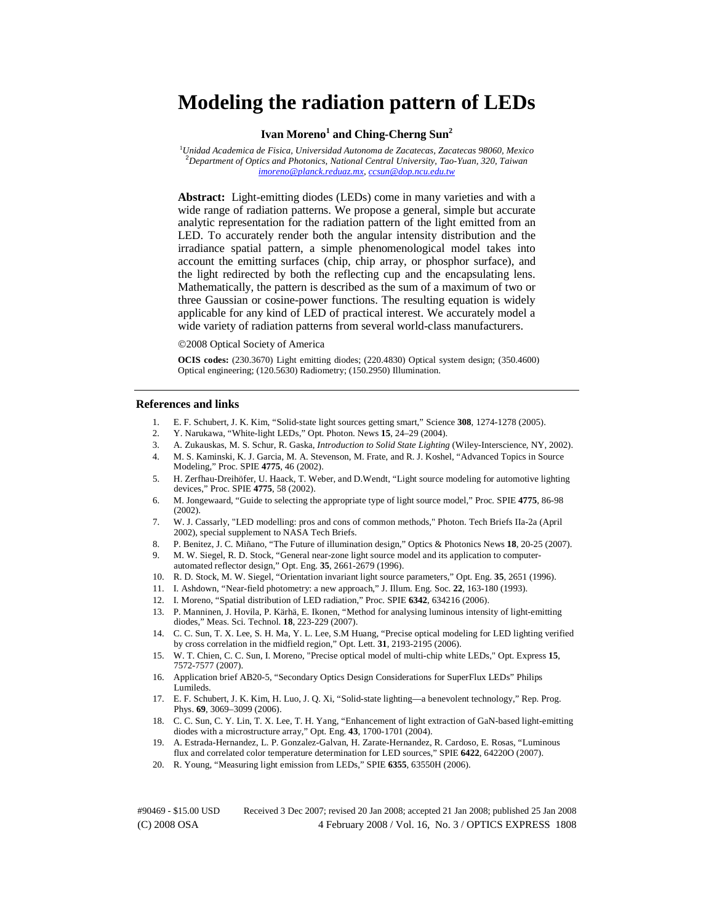# **Modeling the radiation pattern of LEDs**

## $\bf I$ van Moreno $^1$  and Ching-Cherng  $\bf Sun^2$

1 *Unidad Academica de Fisica, Universidad Autonoma de Zacatecas, Zacatecas 98060, Mexico*  2 *Department of Optics and Photonics, National Central University, Tao-Yuan, 320, Taiwan imoreno@planck.reduaz.mx*, *ccsun@dop.ncu.edu.tw*

**Abstract:** Light-emitting diodes (LEDs) come in many varieties and with a wide range of radiation patterns. We propose a general, simple but accurate analytic representation for the radiation pattern of the light emitted from an LED. To accurately render both the angular intensity distribution and the irradiance spatial pattern, a simple phenomenological model takes into account the emitting surfaces (chip, chip array, or phosphor surface), and the light redirected by both the reflecting cup and the encapsulating lens. Mathematically, the pattern is described as the sum of a maximum of two or three Gaussian or cosine-power functions. The resulting equation is widely applicable for any kind of LED of practical interest. We accurately model a wide variety of radiation patterns from several world-class manufacturers.

©2008 Optical Society of America

**OCIS codes:** (230.3670) Light emitting diodes; (220.4830) Optical system design; (350.4600) Optical engineering; (120.5630) Radiometry; (150.2950) Illumination.

## **References and links**

- 1. E. F. Schubert, J. K. Kim, "Solid-state light sources getting smart," Science **308**, 1274-1278 (2005).
- 2. Y. Narukawa, "White-light LEDs," Opt. Photon. News **15**, 24–29 (2004).
- 3. A. Zukauskas, M. S. Schur, R. Gaska, *Introduction to Solid State Lighting* (Wiley-Interscience, NY, 2002).
- 4. M. S. Kaminski, K. J. Garcia, M. A. Stevenson, M. Frate, and R. J. Koshel, "Advanced Topics in Source Modeling," Proc. SPIE **4775**, 46 (2002).
- 5. H. Zerfhau-Dreihöfer, U. Haack, T. Weber, and D.Wendt, "Light source modeling for automotive lighting devices," Proc. SPIE **4775**, 58 (2002).
- 6. M. Jongewaard, "Guide to selecting the appropriate type of light source model," Proc. SPIE **4775**, 86-98 (2002).
- 7. W. J. Cassarly, "LED modelling: pros and cons of common methods," Photon. Tech Briefs IIa-2a (April 2002), special supplement to NASA Tech Briefs.
- 8. P. Benitez, J. C. Miñano, "The Future of illumination design," Optics & Photonics News **18**, 20-25 (2007).
- 9. M. W. Siegel, R. D. Stock, "General near-zone light source model and its application to computerautomated reflector design," Opt. Eng. **35**, 2661-2679 (1996).
- 10. R. D. Stock, M. W. Siegel, "Orientation invariant light source parameters," Opt. Eng. **35**, 2651 (1996).
- 11. I. Ashdown, "Near-field photometry: a new approach," J. Illum. Eng. Soc. **22**, 163-180 (1993).
- 12. I. Moreno, "Spatial distribution of LED radiation," Proc. SPIE **6342**, 634216 (2006).
- 13. P. Manninen, J. Hovila, P. Kärhä, E. Ikonen, "Method for analysing luminous intensity of light-emitting diodes," Meas. Sci. Technol. **18**, 223-229 (2007).
- 14. C. C. Sun, T. X. Lee, S. H. Ma, Y. L. Lee, S.M Huang, "Precise optical modeling for LED lighting verified by cross correlation in the midfield region," Opt. Lett. **31**, 2193-2195 (2006).
- 15. W. T. Chien, C. C. Sun, I. Moreno, "Precise optical model of multi-chip white LEDs," Opt. Express **15**, 7572-7577 (2007).
- 16. Application brief AB20-5, "Secondary Optics Design Considerations for SuperFlux LEDs" Philips Lumileds.
- 17. E. F. Schubert, J. K. Kim, H. Luo, J. Q. Xi, "Solid-state lighting—a benevolent technology," Rep. Prog. Phys. **69**, 3069–3099 (2006).
- 18. C. C. Sun, C. Y. Lin, T. X. Lee, T. H. Yang, "Enhancement of light extraction of GaN-based light-emitting diodes with a microstructure array," Opt. Eng. **43**, 1700-1701 (2004).
- 19. A. Estrada-Hernandez, L. P. Gonzalez-Galvan, H. Zarate-Hernandez, R. Cardoso, E. Rosas, "Luminous flux and correlated color temperature determination for LED sources," SPIE **6422**, 64220O (2007).
- 20. R. Young, "Measuring light emission from LEDs," SPIE **6355**, 63550H (2006).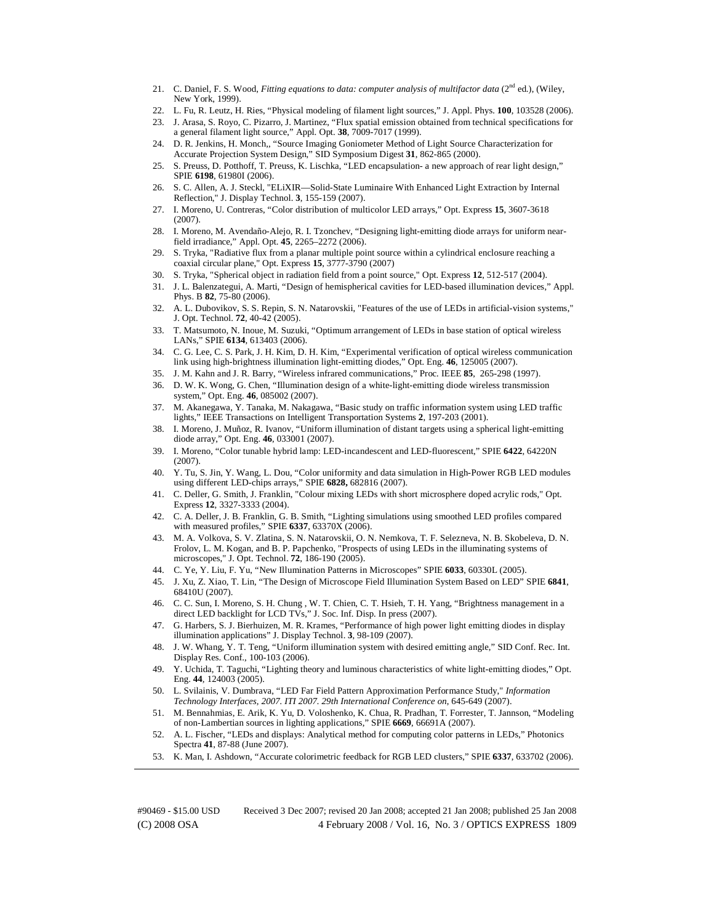- 21. C. Daniel, F. S. Wood, *Fitting equations to data: computer analysis of multifactor data* (2<sup>nd</sup> ed.), (Wiley, New York, 1999).
- 22. L. Fu, R. Leutz, H. Ries, "Physical modeling of filament light sources," J. Appl. Phys. **100**, 103528 (2006).
- 23. J. Arasa, S. Royo, C. Pizarro, J. Martinez, "Flux spatial emission obtained from technical specifications for a general filament light source," Appl. Opt. **38**, 7009-7017 (1999).
- 24. D. R. Jenkins, H. Monch,, "Source Imaging Goniometer Method of Light Source Characterization for Accurate Projection System Design," SID Symposium Digest **31**, 862-865 (2000).
- 25. S. Preuss, D. Potthoff, T. Preuss, K. Lischka, "LED encapsulation- a new approach of rear light design," SPIE **6198**, 61980I (2006).
- 26. S. C. Allen, A. J. Steckl, "ELiXIR—Solid-State Luminaire With Enhanced Light Extraction by Internal Reflection," J. Display Technol. **3**, 155-159 (2007).
- 27. I. Moreno, U. Contreras, "Color distribution of multicolor LED arrays," Opt. Express **15**, 3607-3618 (2007).
- 28. I. Moreno, M. Avendaño-Alejo, R. I. Tzonchev, "Designing light-emitting diode arrays for uniform nearfield irradiance," Appl. Opt. **45**, 2265–2272 (2006).
- 29. S. Tryka, "Radiative flux from a planar multiple point source within a cylindrical enclosure reaching a coaxial circular plane," Opt. Express **15**, 3777-3790 (2007)
- 30. S. Tryka, "Spherical object in radiation field from a point source," Opt. Express **12**, 512-517 (2004).
- 31. J. L. Balenzategui, A. Marti, "Design of hemispherical cavities for LED-based illumination devices," Appl. Phys. B **82**, 75-80 (2006).
- 32. A. L. Dubovikov, S. S. Repin, S. N. Natarovskii, "Features of the use of LEDs in artificial-vision systems," J. Opt. Technol. **72**, 40-42 (2005).
- 33. T. Matsumoto, N. Inoue, M. Suzuki, "Optimum arrangement of LEDs in base station of optical wireless LANs," SPIE **6134**, 613403 (2006).
- 34. C. G. Lee, C. S. Park, J. H. Kim, D. H. Kim, "Experimental verification of optical wireless communication link using high-brightness illumination light-emitting diodes," Opt. Eng. **46**, 125005 (2007).
- 35. J. M. Kahn and J. R. Barry, "Wireless infrared communications," Proc. IEEE **85**, 265-298 (1997).
- 36. D. W. K. Wong, G. Chen, "Illumination design of a white-light-emitting diode wireless transmission system," Opt. Eng. **46**, 085002 (2007).
- 37. M. Akanegawa, Y. Tanaka, M. Nakagawa, "Basic study on traffic information system using LED traffic lights," IEEE Transactions on Intelligent Transportation Systems **2**, 197-203 (2001).
- 38. I. Moreno, J. Muñoz, R. Ivanov, "Uniform illumination of distant targets using a spherical light-emitting diode array," Opt. Eng. **46**, 033001 (2007).
- 39. I. Moreno, "Color tunable hybrid lamp: LED-incandescent and LED-fluorescent," SPIE **6422**, 64220N (2007).
- 40. Y. Tu, S. Jin, Y. Wang, L. Dou, "Color uniformity and data simulation in High-Power RGB LED modules using different LED-chips arrays," SPIE **6828,** 682816 (2007).
- 41. C. Deller, G. Smith, J. Franklin, "Colour mixing LEDs with short microsphere doped acrylic rods," Opt. Express **12**, 3327-3333 (2004).
- 42. C. A. Deller, J. B. Franklin, G. B. Smith, "Lighting simulations using smoothed LED profiles compared with measured profiles," SPIE **6337**, 63370X (2006).
- 43. M. A. Volkova, S. V. Zlatina, S. N. Natarovskii, O. N. Nemkova, T. F. Selezneva, N. B. Skobeleva, D. N. Frolov, L. M. Kogan, and B. P. Papchenko, "Prospects of using LEDs in the illuminating systems of microscopes," J. Opt. Technol. **72**, 186-190 (2005).
- 44. C. Ye, Y. Liu, F. Yu, "New Illumination Patterns in Microscopes" SPIE **6033**, 60330L (2005).
- 45. J. Xu, Z. Xiao, T. Lin, "The Design of Microscope Field Illumination System Based on LED" SPIE **6841**, 68410U (2007).
- 46. C. C. Sun, I. Moreno, S. H. Chung , W. T. Chien, C. T. Hsieh, T. H. Yang, "Brightness management in a direct LED backlight for LCD TVs," J. Soc. Inf. Disp. In press (2007).
- 47. G. Harbers, S. J. Bierhuizen, M. R. Krames, "Performance of high power light emitting diodes in display illumination applications" J. Display Technol. **3**, 98-109 (2007).
- 48. J. W. Whang, Y. T. Teng, "Uniform illumination system with desired emitting angle," SID Conf. Rec. Int. Display Res. Conf., 100-103 (2006).
- 49. Y. Uchida, T. Taguchi, "Lighting theory and luminous characteristics of white light-emitting diodes," Opt. Eng. **44**, 124003 (2005).
- 50. L. Svilainis, V. Dumbrava, "LED Far Field Pattern Approximation Performance Study," *Information Technology Interfaces, 2007. ITI 2007. 29th International Conference on*, 645-649 (2007).
- 51. M. Bennahmias, E. Arik, K. Yu, D. Voloshenko, K. Chua, R. Pradhan, T. Forrester, T. Jannson, "Modeling of non-Lambertian sources in lighting applications," SPIE **6669**, 66691A (2007).
- 52. A. L. Fischer, "LEDs and displays: Analytical method for computing color patterns in LEDs," Photonics Spectra **41**, 87-88 (June 2007).
- 53. K. Man, I. Ashdown, "Accurate colorimetric feedback for RGB LED clusters," SPIE **6337**, 633702 (2006).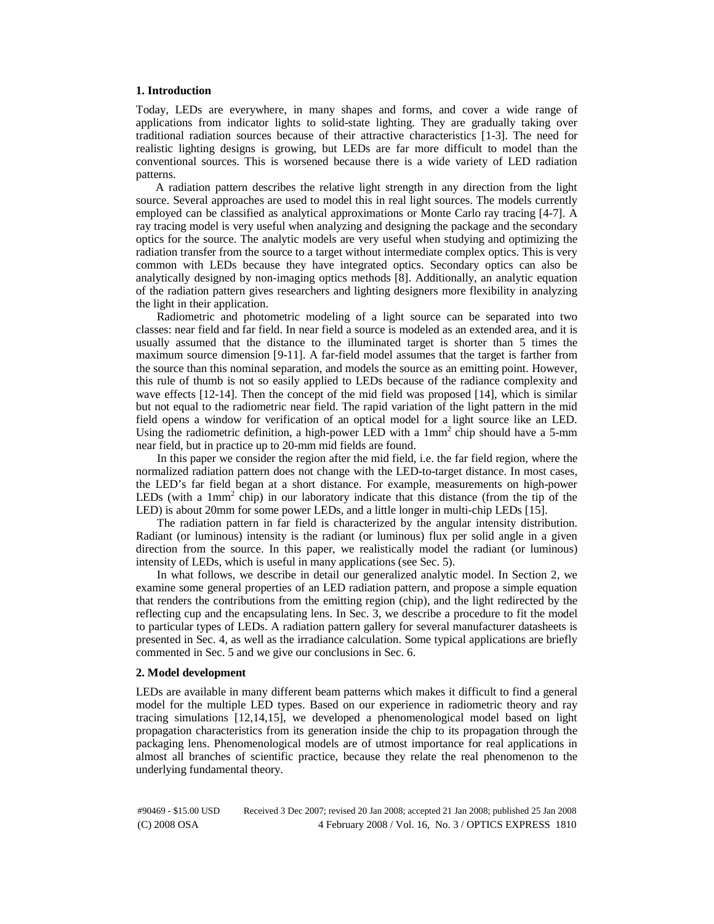## **1. Introduction**

Today, LEDs are everywhere, in many shapes and forms, and cover a wide range of applications from indicator lights to solid-state lighting. They are gradually taking over traditional radiation sources because of their attractive characteristics [1-3]. The need for realistic lighting designs is growing, but LEDs are far more difficult to model than the conventional sources. This is worsened because there is a wide variety of LED radiation patterns.

A radiation pattern describes the relative light strength in any direction from the light source. Several approaches are used to model this in real light sources. The models currently employed can be classified as analytical approximations or Monte Carlo ray tracing [4-7]. A ray tracing model is very useful when analyzing and designing the package and the secondary optics for the source. The analytic models are very useful when studying and optimizing the radiation transfer from the source to a target without intermediate complex optics. This is very common with LEDs because they have integrated optics. Secondary optics can also be analytically designed by non-imaging optics methods [8]. Additionally, an analytic equation of the radiation pattern gives researchers and lighting designers more flexibility in analyzing the light in their application.

Radiometric and photometric modeling of a light source can be separated into two classes: near field and far field. In near field a source is modeled as an extended area, and it is usually assumed that the distance to the illuminated target is shorter than 5 times the maximum source dimension [9-11]. A far-field model assumes that the target is farther from the source than this nominal separation, and models the source as an emitting point. However, this rule of thumb is not so easily applied to LEDs because of the radiance complexity and wave effects [12-14]. Then the concept of the mid field was proposed [14], which is similar but not equal to the radiometric near field. The rapid variation of the light pattern in the mid field opens a window for verification of an optical model for a light source like an LED. Using the radiometric definition, a high-power LED with a 1mm<sup>2</sup> chip should have a 5-mm near field, but in practice up to 20-mm mid fields are found.

In this paper we consider the region after the mid field, i.e. the far field region, where the normalized radiation pattern does not change with the LED-to-target distance. In most cases, the LED's far field began at a short distance. For example, measurements on high-power LEDs (with a  $1mm^2$  chip) in our laboratory indicate that this distance (from the tip of the LED) is about 20mm for some power LEDs, and a little longer in multi-chip LEDs [15].

The radiation pattern in far field is characterized by the angular intensity distribution. Radiant (or luminous) intensity is the radiant (or luminous) flux per solid angle in a given direction from the source. In this paper, we realistically model the radiant (or luminous) intensity of LEDs, which is useful in many applications (see Sec. 5).

In what follows, we describe in detail our generalized analytic model. In Section 2, we examine some general properties of an LED radiation pattern, and propose a simple equation that renders the contributions from the emitting region (chip), and the light redirected by the reflecting cup and the encapsulating lens. In Sec. 3, we describe a procedure to fit the model to particular types of LEDs. A radiation pattern gallery for several manufacturer datasheets is presented in Sec. 4, as well as the irradiance calculation. Some typical applications are briefly commented in Sec. 5 and we give our conclusions in Sec. 6.

## **2. Model development**

LEDs are available in many different beam patterns which makes it difficult to find a general model for the multiple LED types. Based on our experience in radiometric theory and ray tracing simulations [12,14,15], we developed a phenomenological model based on light propagation characteristics from its generation inside the chip to its propagation through the packaging lens. Phenomenological models are of utmost importance for real applications in almost all branches of scientific practice, because they relate the real phenomenon to the underlying fundamental theory.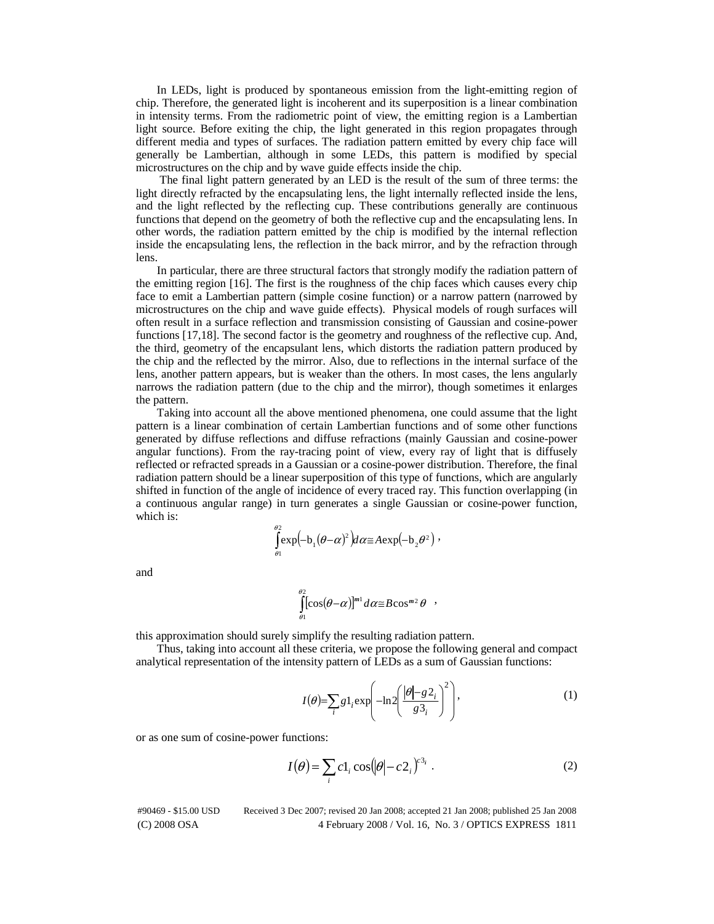In LEDs, light is produced by spontaneous emission from the light-emitting region of chip. Therefore, the generated light is incoherent and its superposition is a linear combination in intensity terms. From the radiometric point of view, the emitting region is a Lambertian light source. Before exiting the chip, the light generated in this region propagates through different media and types of surfaces. The radiation pattern emitted by every chip face will generally be Lambertian, although in some LEDs, this pattern is modified by special microstructures on the chip and by wave guide effects inside the chip.

 The final light pattern generated by an LED is the result of the sum of three terms: the light directly refracted by the encapsulating lens, the light internally reflected inside the lens, and the light reflected by the reflecting cup. These contributions generally are continuous functions that depend on the geometry of both the reflective cup and the encapsulating lens. In other words, the radiation pattern emitted by the chip is modified by the internal reflection inside the encapsulating lens, the reflection in the back mirror, and by the refraction through lens.

In particular, there are three structural factors that strongly modify the radiation pattern of the emitting region [16]. The first is the roughness of the chip faces which causes every chip face to emit a Lambertian pattern (simple cosine function) or a narrow pattern (narrowed by microstructures on the chip and wave guide effects). Physical models of rough surfaces will often result in a surface reflection and transmission consisting of Gaussian and cosine-power functions [17,18]. The second factor is the geometry and roughness of the reflective cup. And, the third, geometry of the encapsulant lens, which distorts the radiation pattern produced by the chip and the reflected by the mirror. Also, due to reflections in the internal surface of the lens, another pattern appears, but is weaker than the others. In most cases, the lens angularly narrows the radiation pattern (due to the chip and the mirror), though sometimes it enlarges the pattern.

Taking into account all the above mentioned phenomena, one could assume that the light pattern is a linear combination of certain Lambertian functions and of some other functions generated by diffuse reflections and diffuse refractions (mainly Gaussian and cosine-power angular functions). From the ray-tracing point of view, every ray of light that is diffusely reflected or refracted spreads in a Gaussian or a cosine-power distribution. Therefore, the final radiation pattern should be a linear superposition of this type of functions, which are angularly shifted in function of the angle of incidence of every traced ray. This function overlapping (in a continuous angular range) in turn generates a single Gaussian or cosine-power function, which is:

$$
\int_{\theta_1}^{\theta_2} \exp\left(-b_1(\theta-\alpha)^2\right) d\alpha \leq A \exp\left(-b_2\theta^2\right),
$$

and

$$
\int_{\theta_1}^{\theta_2} [\cos(\theta-\alpha)]^{m_1} d\alpha \leq B \cos^{m_2} \theta ,
$$

this approximation should surely simplify the resulting radiation pattern.

Thus, taking into account all these criteria, we propose the following general and compact analytical representation of the intensity pattern of LEDs as a sum of Gaussian functions:

$$
I(\theta) = \sum_{i} g1_i \exp\left(-\ln 2\left(\frac{|\theta| - g2_i}{g3_i}\right)^2\right),\tag{1}
$$

or as one sum of cosine-power functions:

$$
I(\theta) = \sum_{i} c1_i \cos(\theta) - c2_i^{3_i}.
$$
 (2)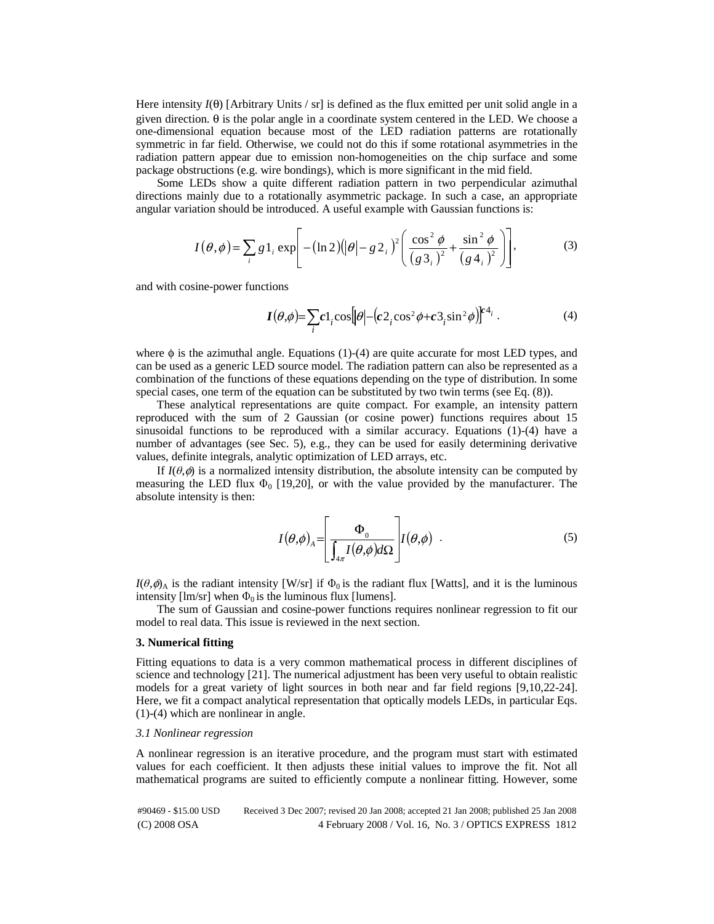Here intensity  $I(\theta)$  [Arbitrary Units / sr] is defined as the flux emitted per unit solid angle in a given direction. θ is the polar angle in a coordinate system centered in the LED. We choose a one-dimensional equation because most of the LED radiation patterns are rotationally symmetric in far field. Otherwise, we could not do this if some rotational asymmetries in the radiation pattern appear due to emission non-homogeneities on the chip surface and some package obstructions (e.g. wire bondings), which is more significant in the mid field.

Some LEDs show a quite different radiation pattern in two perpendicular azimuthal directions mainly due to a rotationally asymmetric package. In such a case, an appropriate angular variation should be introduced. A useful example with Gaussian functions is:

$$
I(\theta,\phi) = \sum_{i} g 1_{i} \exp \left[ - (\ln 2)(|\theta| - g 2_{i})^{2} \left( \frac{\cos^{2} \phi}{(g 3_{i})^{2}} + \frac{\sin^{2} \phi}{(g 4_{i})^{2}} \right) \right],
$$
 (3)

and with cosine-power functions

$$
\boldsymbol{I}(\theta,\phi) = \sum_{i} c1_i \cos[\theta] - (c2_i \cos^2 \phi + c3_i \sin^2 \phi)]^{c4_i} \,. \tag{4}
$$

where  $\phi$  is the azimuthal angle. Equations (1)-(4) are quite accurate for most LED types, and can be used as a generic LED source model. The radiation pattern can also be represented as a combination of the functions of these equations depending on the type of distribution. In some special cases, one term of the equation can be substituted by two twin terms (see Eq. (8)).

These analytical representations are quite compact. For example, an intensity pattern reproduced with the sum of 2 Gaussian (or cosine power) functions requires about 15 sinusoidal functions to be reproduced with a similar accuracy. Equations (1)-(4) have a number of advantages (see Sec. 5), e.g., they can be used for easily determining derivative values, definite integrals, analytic optimization of LED arrays, etc.

If  $I(\theta, \phi)$  is a normalized intensity distribution, the absolute intensity can be computed by measuring the LED flux  $\Phi_0$  [19,20], or with the value provided by the manufacturer. The absolute intensity is then:

$$
I(\theta,\phi)_{A} = \left[\frac{\Phi_0}{\int_{4\pi} I(\theta,\phi)d\Omega}\right] I(\theta,\phi) .
$$
 (5)

 $I(\theta, \phi)$ A is the radiant intensity [W/sr] if  $\Phi_0$  is the radiant flux [Watts], and it is the luminous intensity [lm/sr] when  $\Phi_0$  is the luminous flux [lumens].

The sum of Gaussian and cosine-power functions requires nonlinear regression to fit our model to real data. This issue is reviewed in the next section.

## **3. Numerical fitting**

Fitting equations to data is a very common mathematical process in different disciplines of science and technology [21]. The numerical adjustment has been very useful to obtain realistic models for a great variety of light sources in both near and far field regions [9,10,22-24]. Here, we fit a compact analytical representation that optically models LEDs, in particular Eqs. (1)-(4) which are nonlinear in angle.

## *3.1 Nonlinear regression*

A nonlinear regression is an iterative procedure, and the program must start with estimated values for each coefficient. It then adjusts these initial values to improve the fit. Not all mathematical programs are suited to efficiently compute a nonlinear fitting. However, some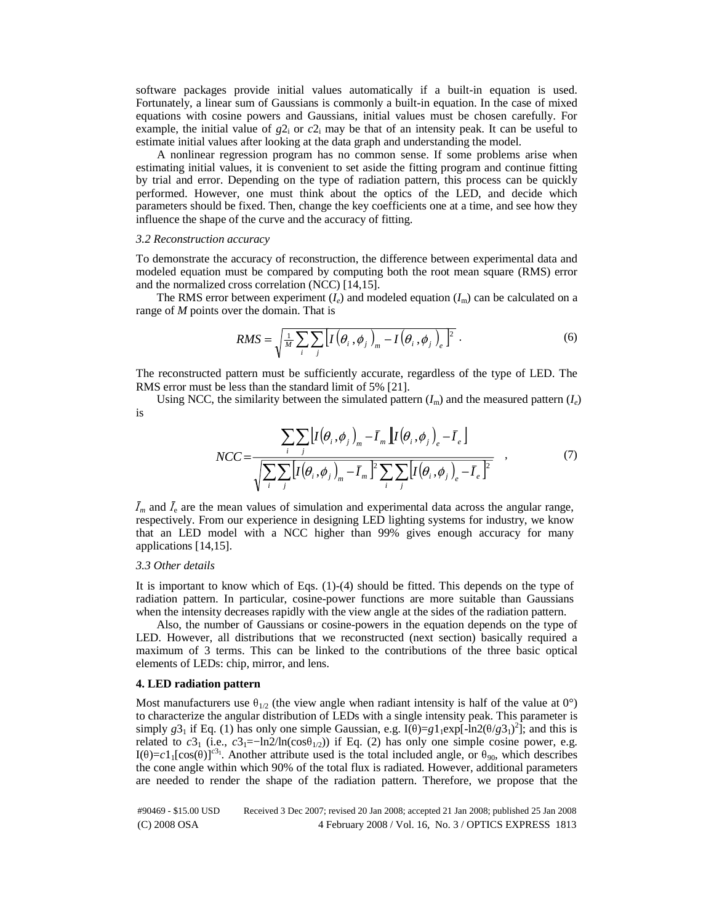software packages provide initial values automatically if a built-in equation is used. Fortunately, a linear sum of Gaussians is commonly a built-in equation. In the case of mixed equations with cosine powers and Gaussians, initial values must be chosen carefully. For example, the initial value of  $g2_i$  or  $c2_i$  may be that of an intensity peak. It can be useful to estimate initial values after looking at the data graph and understanding the model.

A nonlinear regression program has no common sense. If some problems arise when estimating initial values, it is convenient to set aside the fitting program and continue fitting by trial and error. Depending on the type of radiation pattern, this process can be quickly performed. However, one must think about the optics of the LED, and decide which parameters should be fixed. Then, change the key coefficients one at a time, and see how they influence the shape of the curve and the accuracy of fitting.

#### *3.2 Reconstruction accuracy*

To demonstrate the accuracy of reconstruction, the difference between experimental data and modeled equation must be compared by computing both the root mean square (RMS) error and the normalized cross correlation (NCC) [14,15].

The RMS error between experiment  $(I_e)$  and modeled equation  $(I_m)$  can be calculated on a range of *M* points over the domain. That is

$$
RMS = \sqrt{\frac{1}{M} \sum_{i} \sum_{j} \left[ I(\theta_i, \phi_j)_{m} - I(\theta_i, \phi_j)_{e} \right]^2} .
$$
 (6)

The reconstructed pattern must be sufficiently accurate, regardless of the type of LED. The RMS error must be less than the standard limit of 5% [21].

Using NCC, the similarity between the simulated pattern  $(I<sub>m</sub>)$  and the measured pattern  $(I<sub>e</sub>)$ is

$$
NCC = \frac{\sum_{i} \sum_{j} \left[ I(\theta_i, \phi_j)_{m} - \overline{I}_{m} \left[ I(\theta_i, \phi_j)_{e} - \overline{I}_{e} \right] \right]}{\sqrt{\sum_{i} \sum_{j} \left[ I(\theta_i, \phi_j)_{m} - \overline{I}_{m} \right]^{2} \sum_{i} \sum_{j} \left[ I(\theta_i, \phi_j)_{e} - \overline{I}_{e} \right]^{2}}},
$$
\n(7)

 $\bar{I}_m$  and  $\bar{I}_e$  are the mean values of simulation and experimental data across the angular range, respectively. From our experience in designing LED lighting systems for industry, we know that an LED model with a NCC higher than 99% gives enough accuracy for many applications [14,15].

#### *3.3 Other details*

It is important to know which of Eqs. (1)-(4) should be fitted. This depends on the type of radiation pattern. In particular, cosine-power functions are more suitable than Gaussians when the intensity decreases rapidly with the view angle at the sides of the radiation pattern.

Also, the number of Gaussians or cosine-powers in the equation depends on the type of LED. However, all distributions that we reconstructed (next section) basically required a maximum of 3 terms. This can be linked to the contributions of the three basic optical elements of LEDs: chip, mirror, and lens.

## **4. LED radiation pattern**

Most manufacturers use  $\theta_{1/2}$  (the view angle when radiant intensity is half of the value at 0°) to characterize the angular distribution of LEDs with a single intensity peak. This parameter is simply  $g3_1$  if Eq. (1) has only one simple Gaussian, e.g.  $I(\theta)=g1_1exp[-\ln(2(\theta/g3_1)^2)]$ ; and this is related to  $G_2$ , (i.e.,  $G_3$ — $\ln(2/\ln(\cos\theta_{1/2}))$  if Eq. (2) has only one simple cosine power, e.g. related to  $c3_1$  (i.e.,  $c3_1 = -\ln(2/\ln(\cos\theta_{1/2}))$  if Eq. (2) has only one simple cosine power, e.g. I(θ)= $c1_1$ [cos(θ)]<sup>c3</sup>1. Another attribute used is the total included angle, or θ<sub>90</sub>, which describes the cone angle within which 90% of the total flux is radiated. However, additional parameters the cone angle within which 90% of the total flux is radiated. However, additional parameters are needed to render the shape of the radiation pattern. Therefore, we propose that the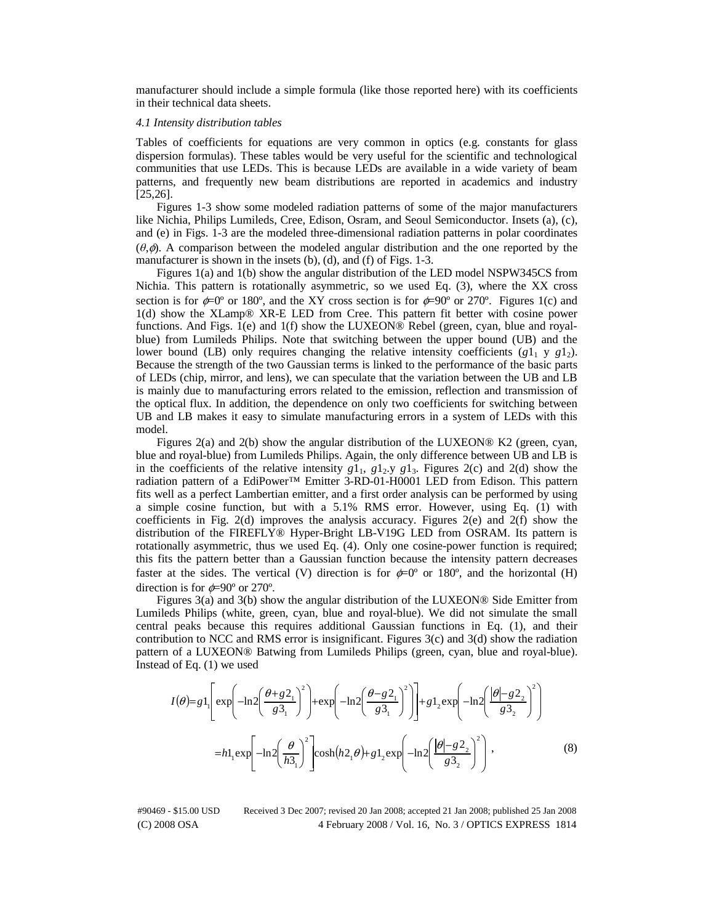manufacturer should include a simple formula (like those reported here) with its coefficients in their technical data sheets.

## *4.1 Intensity distribution tables*

Tables of coefficients for equations are very common in optics (e.g. constants for glass dispersion formulas). These tables would be very useful for the scientific and technological communities that use LEDs. This is because LEDs are available in a wide variety of beam patterns, and frequently new beam distributions are reported in academics and industry [25,26].

Figures 1-3 show some modeled radiation patterns of some of the major manufacturers like Nichia, Philips Lumileds, Cree, Edison, Osram, and Seoul Semiconductor. Insets (a), (c), and (e) in Figs. 1-3 are the modeled three-dimensional radiation patterns in polar coordinates  $(\theta, \phi)$ . A comparison between the modeled angular distribution and the one reported by the manufacturer is shown in the insets (b), (d), and (f) of Figs. 1-3.

Figures 1(a) and 1(b) show the angular distribution of the LED model NSPW345CS from Nichia. This pattern is rotationally asymmetric, so we used Eq. (3), where the XX cross section is for  $\phi=0^\circ$  or 180°, and the XY cross section is for  $\phi=90^\circ$  or 270°. Figures 1(c) and 1(d) show the XLamp® XR-E LED from Cree. This pattern fit better with cosine power functions. And Figs. 1(e) and 1(f) show the LUXEON® Rebel (green, cyan, blue and royalblue) from Lumileds Philips. Note that switching between the upper bound (UB) and the lower bound (LB) only requires changing the relative intensity coefficients  $(g1_1 \, y \, g1_2)$ . Because the strength of the two Gaussian terms is linked to the performance of the basic parts of LEDs (chip, mirror, and lens), we can speculate that the variation between the UB and LB is mainly due to manufacturing errors related to the emission, reflection and transmission of the optical flux. In addition, the dependence on only two coefficients for switching between UB and LB makes it easy to simulate manufacturing errors in a system of LEDs with this model.

Figures 2(a) and 2(b) show the angular distribution of the LUXEON® K2 (green, cyan, blue and royal-blue) from Lumileds Philips. Again, the only difference between UB and LB is in the coefficients of the relative intensity  $g1_1$ ,  $g1_2$ ,  $g1_3$ . Figures 2(c) and 2(d) show the radiation pattern of a EdiPower™ Emitter 3-RD-01-H0001 LED from Edison. This pattern fits well as a perfect Lambertian emitter, and a first order analysis can be performed by using a simple cosine function, but with a 5.1% RMS error. However, using Eq. (1) with coefficients in Fig. 2(d) improves the analysis accuracy. Figures 2(e) and 2(f) show the distribution of the FIREFLY® Hyper-Bright LB-V19G LED from OSRAM. Its pattern is rotationally asymmetric, thus we used Eq. (4). Only one cosine-power function is required; this fits the pattern better than a Gaussian function because the intensity pattern decreases faster at the sides. The vertical (V) direction is for  $\phi=0^{\circ}$  or 180°, and the horizontal (H) direction is for  $\phi$ =90° or 270°.

Figures 3(a) and 3(b) show the angular distribution of the LUXEON® Side Emitter from Lumileds Philips (white, green, cyan, blue and royal-blue). We did not simulate the small central peaks because this requires additional Gaussian functions in Eq. (1), and their contribution to NCC and RMS error is insignificant. Figures 3(c) and 3(d) show the radiation pattern of a LUXEON® Batwing from Lumileds Philips (green, cyan, blue and royal-blue). Instead of Eq. (1) we used

$$
I(\theta) = g1_{1} \left[ exp\left(-\ln 2 \left(\frac{\theta + g2_{1}}{g3_{1}}\right)^{2}\right) + exp\left(-\ln 2 \left(\frac{\theta - g2_{1}}{g3_{1}}\right)^{2}\right)\right] + g1_{2}exp\left(-\ln 2 \left(\frac{|\theta| - g2_{2}}{g3_{2}}\right)^{2}\right)
$$

$$
= h1_{1} exp\left[-\ln 2 \left(\frac{\theta}{h3_{1}}\right)^{2}\right] cosh(h2_{1}\theta) + g1_{2} exp\left(-\ln 2 \left(\frac{|\theta| - g2_{2}}{g3_{2}}\right)^{2}\right), \tag{8}
$$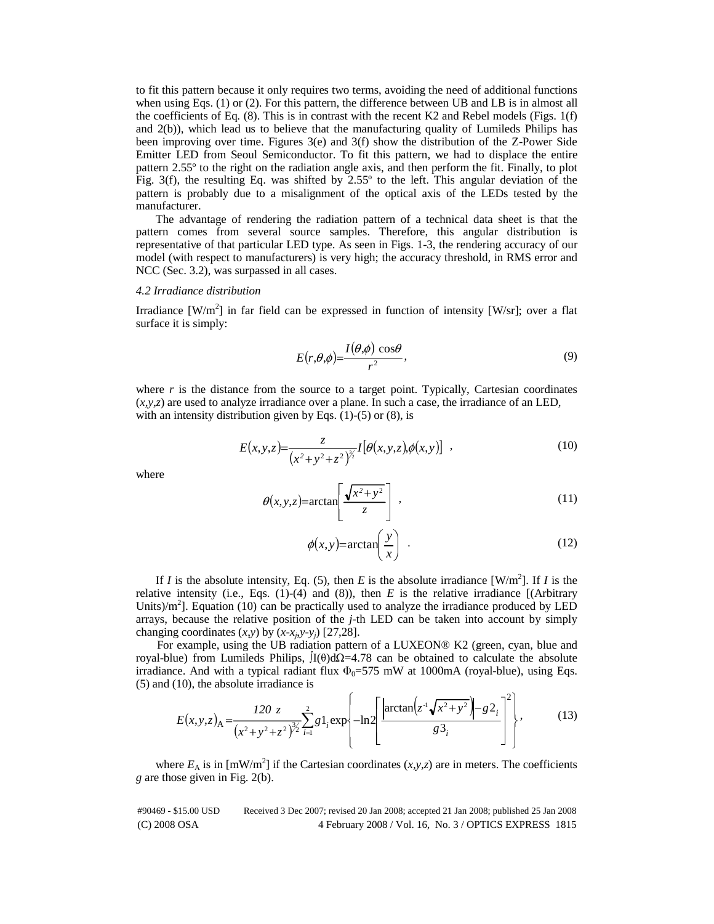to fit this pattern because it only requires two terms, avoiding the need of additional functions when using Eqs. (1) or (2). For this pattern, the difference between UB and LB is in almost all the coefficients of Eq.  $(8)$ . This is in contrast with the recent K2 and Rebel models (Figs. 1(f) and 2(b)), which lead us to believe that the manufacturing quality of Lumileds Philips has been improving over time. Figures  $3(e)$  and  $3(f)$  show the distribution of the Z-Power Side Emitter LED from Seoul Semiconductor. To fit this pattern, we had to displace the entire pattern 2.55º to the right on the radiation angle axis, and then perform the fit. Finally, to plot Fig. 3(f), the resulting Eq. was shifted by 2.55º to the left. This angular deviation of the pattern is probably due to a misalignment of the optical axis of the LEDs tested by the manufacturer.

The advantage of rendering the radiation pattern of a technical data sheet is that the pattern comes from several source samples. Therefore, this angular distribution is representative of that particular LED type. As seen in Figs. 1-3, the rendering accuracy of our model (with respect to manufacturers) is very high; the accuracy threshold, in RMS error and NCC (Sec. 3.2), was surpassed in all cases.

## *4.2 Irradiance distribution*

Irradiance  $[W/m^2]$  in far field can be expressed in function of intensity  $[W/sr]$ ; over a flat surface it is simply:

$$
E(r,\theta,\phi) = \frac{I(\theta,\phi)\cos\theta}{r^2},
$$
\n(9)

where  $r$  is the distance from the source to a target point. Typically, Cartesian coordinates  $(x, y, z)$  are used to analyze irradiance over a plane. In such a case, the irradiance of an LED, with an intensity distribution given by Eqs.  $(1)-(5)$  or  $(8)$ , is

$$
E(x, y, z) = \frac{z}{(x^2 + y^2 + z^2)^{\frac{3}{2}}} I[\theta(x, y, z), \phi(x, y)] \quad , \tag{10}
$$

where

$$
\theta(x, y, z) = \arctan\left[\frac{\sqrt{x^2 + y^2}}{z}\right],
$$
\n(11)

$$
\phi(x, y) = \arctan\left(\frac{y}{x}\right) \tag{12}
$$

 $\sim$ 

If *I* is the absolute intensity, Eq. (5), then *E* is the absolute irradiance [W/m<sup>2</sup>]. If *I* is the relative intensity (i.e., Eqs.  $(1)-(4)$  and  $(8)$ ), then *E* is the relative irradiance  $[(Arbitrary]$ Units)/ $m<sup>2</sup>$ ]. Equation (10) can be practically used to analyze the irradiance produced by LED arrays, because the relative position of the *j*-th LED can be taken into account by simply changing coordinates  $(x,y)$  by  $(x-x_j,y-y_j)$  [27,28].

For example, using the UB radiation pattern of a LUXEON® K2 (green, cyan, blue and royal-blue) from Lumileds Philips,  $J(θ)dΩ=4.78$  can be obtained to calculate the absolute irradiance. And with a typical radiant flux  $\Phi_0 = 575$  mW at 1000mA (royal-blue), using Eqs. (5) and (10), the absolute irradiance is

$$
E(x,y,z)_{A} = \frac{120 \ z}{(x^2 + y^2 + z^2)^{\frac{2}{2}}} \sum_{i=1}^{2} g1_i \exp\left\{-\ln 2\left[\frac{\arctan\left(z^4 \sqrt{x^2 + y^2}\right) - g2_i}{g3_i}\right]^2\right\},\tag{13}
$$

where  $E_A$  is in  $[mW/m^2]$  if the Cartesian coordinates  $(x, y, z)$  are in meters. The coefficients *g* are those given in Fig. 2(b).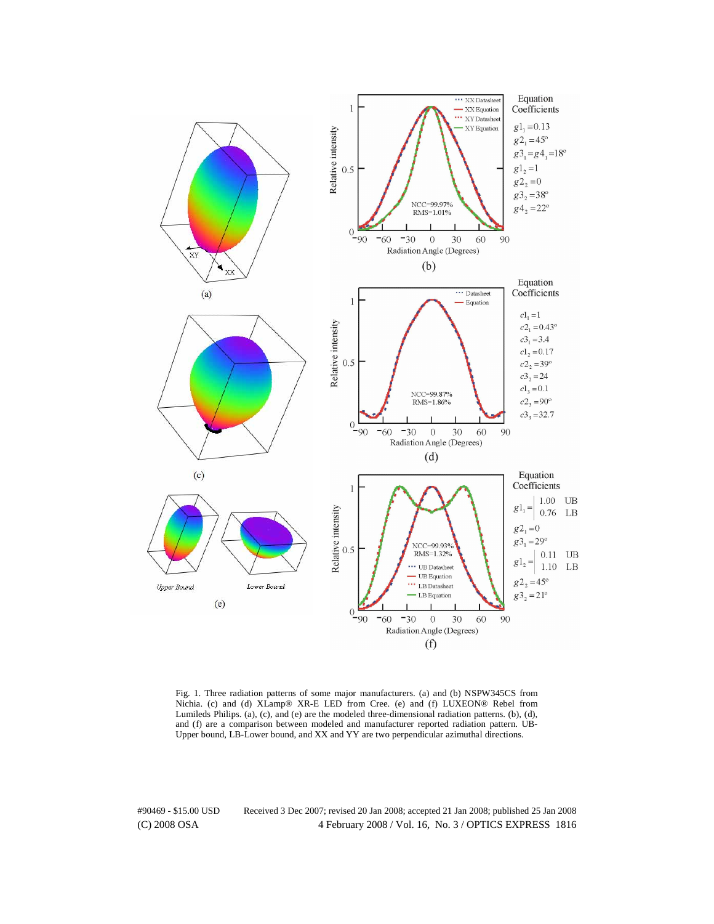

Fig. 1. Three radiation patterns of some major manufacturers. (a) and (b) NSPW345CS from Nichia. (c) and (d) XLamp® XR-E LED from Cree. (e) and (f) LUXEON® Rebel from Lumileds Philips. (a), (c), and (e) are the modeled three-dimensional radiation patterns. (b), (d), and (f) are a comparison between modeled and manufacturer reported radiation pattern. UB-Upper bound, LB-Lower bound, and XX and YY are two perpendicular azimuthal directions.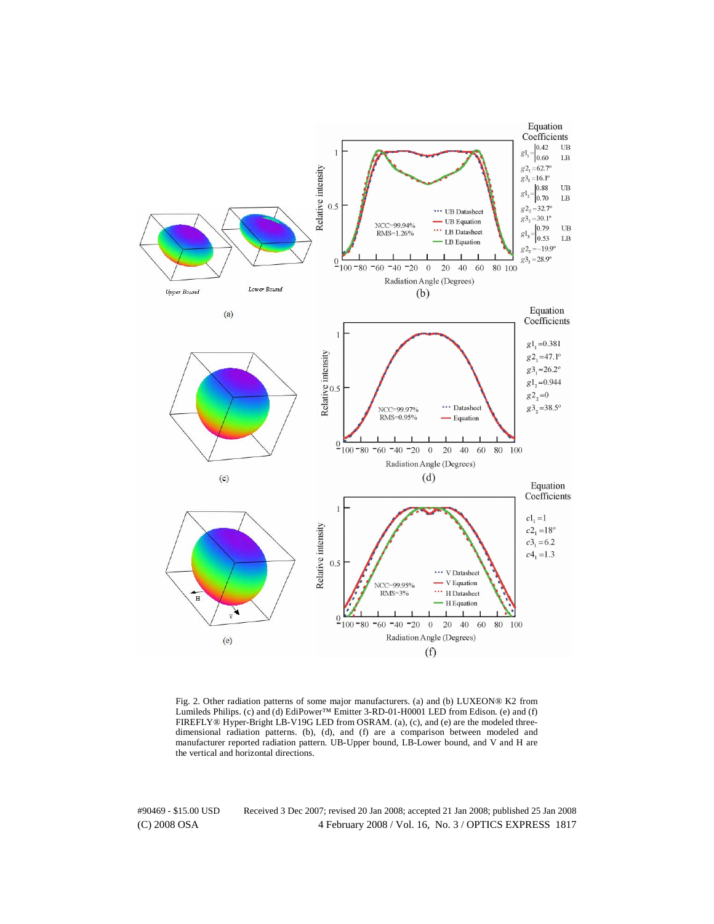

Fig. 2. Other radiation patterns of some major manufacturers. (a) and (b) LUXEON® K2 from Lumileds Philips. (c) and (d) EdiPower™ Emitter 3-RD-01-H0001 LED from Edison. (e) and (f) FIREFLY® Hyper-Bright LB-V19G LED from OSRAM. (a), (c), and (e) are the modeled threedimensional radiation patterns. (b), (d), and (f) are a comparison between modeled and manufacturer reported radiation pattern. UB-Upper bound, LB-Lower bound, and V and H are the vertical and horizontal directions.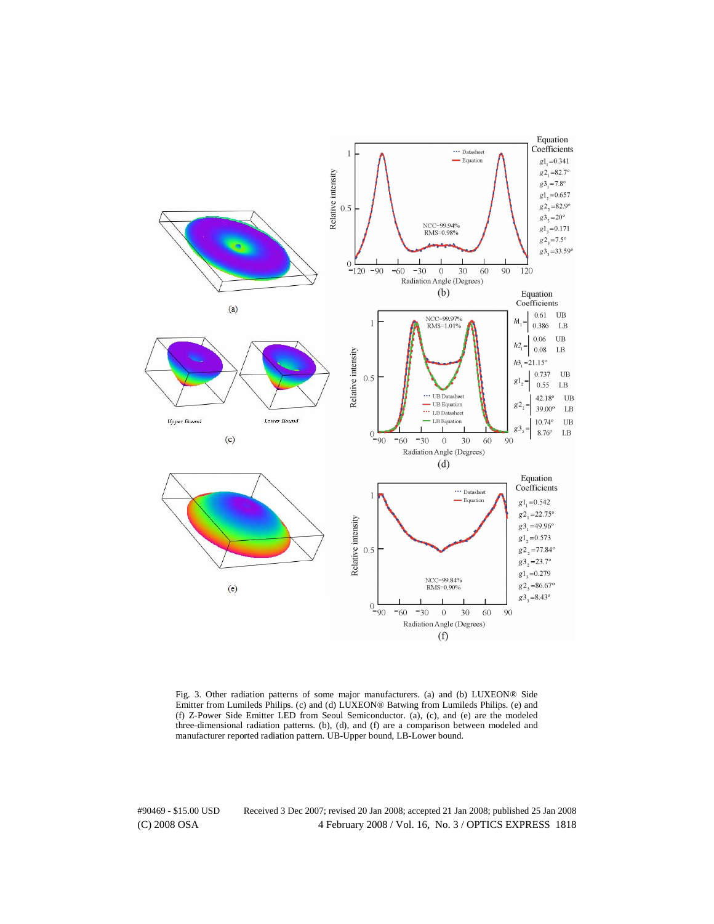

Fig. 3. Other radiation patterns of some major manufacturers. (a) and (b) LUXEON® Side Emitter from Lumileds Philips. (c) and (d) LUXEON® Batwing from Lumileds Philips. (e) and (f) Z-Power Side Emitter LED from Seoul Semiconductor. (a), (c), and (e) are the modeled three-dimensional radiation patterns. (b), (d), and (f) are a comparison between modeled and manufacturer reported radiation pattern. UB-Upper bound, LB-Lower bound.